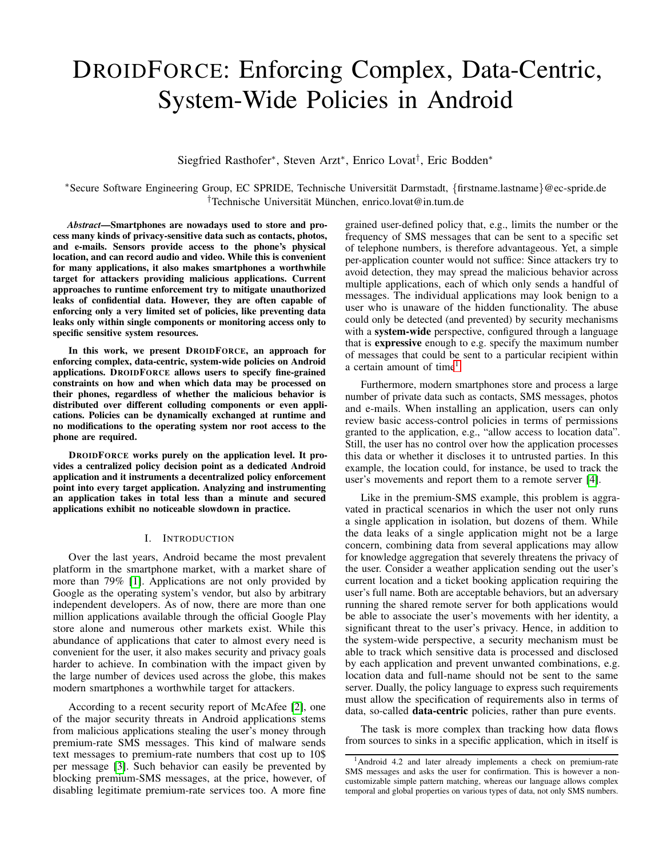# DROIDFORCE: Enforcing Complex, Data-Centric, System-Wide Policies in Android

Siegfried Rasthofer<sup>∗</sup> , Steven Arzt<sup>∗</sup> , Enrico Lovat† , Eric Bodden<sup>∗</sup>

\*Secure Software Engineering Group, EC SPRIDE, Technische Universität Darmstadt, {firstname.lastname}@ec-spride.de †Technische Universität München, enrico.lovat@in.tum.de

*Abstract*—Smartphones are nowadays used to store and process many kinds of privacy-sensitive data such as contacts, photos, and e-mails. Sensors provide access to the phone's physical location, and can record audio and video. While this is convenient for many applications, it also makes smartphones a worthwhile target for attackers providing malicious applications. Current approaches to runtime enforcement try to mitigate unauthorized leaks of confidential data. However, they are often capable of enforcing only a very limited set of policies, like preventing data leaks only within single components or monitoring access only to specific sensitive system resources.

In this work, we present DROIDFORCE, an approach for enforcing complex, data-centric, system-wide policies on Android applications. DROIDFORCE allows users to specify fine-grained constraints on how and when which data may be processed on their phones, regardless of whether the malicious behavior is distributed over different colluding components or even applications. Policies can be dynamically exchanged at runtime and no modifications to the operating system nor root access to the phone are required.

DROIDFORCE works purely on the application level. It provides a centralized policy decision point as a dedicated Android application and it instruments a decentralized policy enforcement point into every target application. Analyzing and instrumenting an application takes in total less than a minute and secured applications exhibit no noticeable slowdown in practice.

#### I. INTRODUCTION

<span id="page-0-1"></span>Over the last years, Android became the most prevalent platform in the smartphone market, with a market share of more than 79% [\[1\]](#page-9-0). Applications are not only provided by Google as the operating system's vendor, but also by arbitrary independent developers. As of now, there are more than one million applications available through the official Google Play store alone and numerous other markets exist. While this abundance of applications that cater to almost every need is convenient for the user, it also makes security and privacy goals harder to achieve. In combination with the impact given by the large number of devices used across the globe, this makes modern smartphones a worthwhile target for attackers.

According to a recent security report of McAfee [\[2\]](#page-9-1), one of the major security threats in Android applications stems from malicious applications stealing the user's money through premium-rate SMS messages. This kind of malware sends text messages to premium-rate numbers that cost up to 10\$ per message [\[3\]](#page-9-2). Such behavior can easily be prevented by blocking premium-SMS messages, at the price, however, of disabling legitimate premium-rate services too. A more fine grained user-defined policy that, e.g., limits the number or the frequency of SMS messages that can be sent to a specific set of telephone numbers, is therefore advantageous. Yet, a simple per-application counter would not suffice: Since attackers try to avoid detection, they may spread the malicious behavior across multiple applications, each of which only sends a handful of messages. The individual applications may look benign to a user who is unaware of the hidden functionality. The abuse could only be detected (and prevented) by security mechanisms with a system-wide perspective, configured through a language that is expressive enough to e.g. specify the maximum number of messages that could be sent to a particular recipient within a certain amount of time<sup>[1](#page-0-0)</sup>.

Furthermore, modern smartphones store and process a large number of private data such as contacts, SMS messages, photos and e-mails. When installing an application, users can only review basic access-control policies in terms of permissions granted to the application, e.g., "allow access to location data". Still, the user has no control over how the application processes this data or whether it discloses it to untrusted parties. In this example, the location could, for instance, be used to track the user's movements and report them to a remote server [\[4\]](#page-9-3).

Like in the premium-SMS example, this problem is aggravated in practical scenarios in which the user not only runs a single application in isolation, but dozens of them. While the data leaks of a single application might not be a large concern, combining data from several applications may allow for knowledge aggregation that severely threatens the privacy of the user. Consider a weather application sending out the user's current location and a ticket booking application requiring the user's full name. Both are acceptable behaviors, but an adversary running the shared remote server for both applications would be able to associate the user's movements with her identity, a significant threat to the user's privacy. Hence, in addition to the system-wide perspective, a security mechanism must be able to track which sensitive data is processed and disclosed by each application and prevent unwanted combinations, e.g. location data and full-name should not be sent to the same server. Dually, the policy language to express such requirements must allow the specification of requirements also in terms of data, so-called data-centric policies, rather than pure events.

The task is more complex than tracking how data flows from sources to sinks in a specific application, which in itself is

<span id="page-0-0"></span><sup>1</sup>Android 4.2 and later already implements a check on premium-rate SMS messages and asks the user for confirmation. This is however a noncustomizable simple pattern matching, whereas our language allows complex temporal and global properties on various types of data, not only SMS numbers.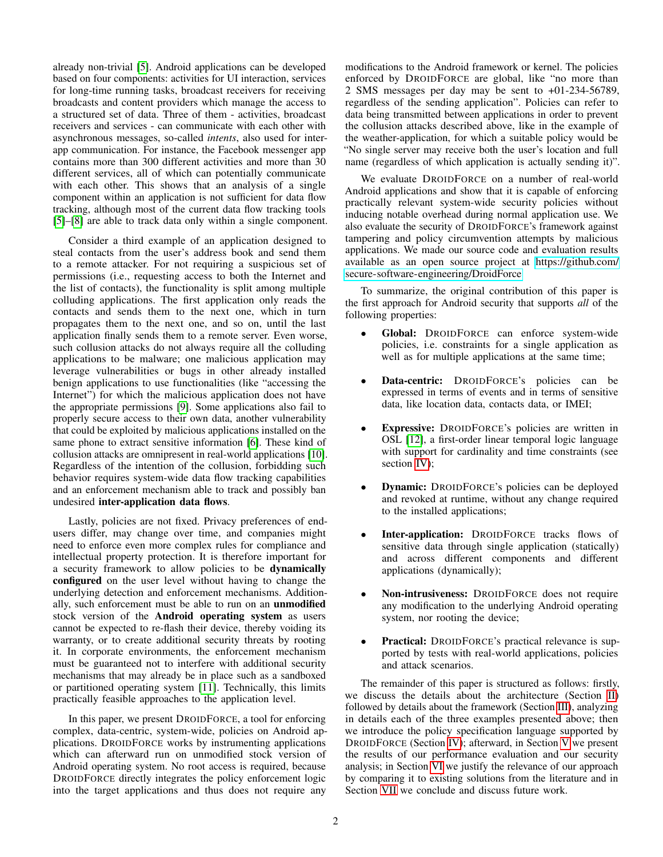already non-trivial [\[5\]](#page-9-4). Android applications can be developed based on four components: activities for UI interaction, services for long-time running tasks, broadcast receivers for receiving broadcasts and content providers which manage the access to a structured set of data. Three of them - activities, broadcast receivers and services - can communicate with each other with asynchronous messages, so-called *intents*, also used for interapp communication. For instance, the Facebook messenger app contains more than 300 different activities and more than 30 different services, all of which can potentially communicate with each other. This shows that an analysis of a single component within an application is not sufficient for data flow tracking, although most of the current data flow tracking tools [\[5\]](#page-9-4)–[\[8\]](#page-9-5) are able to track data only within a single component.

Consider a third example of an application designed to steal contacts from the user's address book and send them to a remote attacker. For not requiring a suspicious set of permissions (i.e., requesting access to both the Internet and the list of contacts), the functionality is split among multiple colluding applications. The first application only reads the contacts and sends them to the next one, which in turn propagates them to the next one, and so on, until the last application finally sends them to a remote server. Even worse, such collusion attacks do not always require all the colluding applications to be malware; one malicious application may leverage vulnerabilities or bugs in other already installed benign applications to use functionalities (like "accessing the Internet") for which the malicious application does not have the appropriate permissions [\[9\]](#page-9-6). Some applications also fail to properly secure access to their own data, another vulnerability that could be exploited by malicious applications installed on the same phone to extract sensitive information [\[6\]](#page-9-7). These kind of collusion attacks are omnipresent in real-world applications [\[10\]](#page-9-8). Regardless of the intention of the collusion, forbidding such behavior requires system-wide data flow tracking capabilities and an enforcement mechanism able to track and possibly ban undesired inter-application data flows.

Lastly, policies are not fixed. Privacy preferences of endusers differ, may change over time, and companies might need to enforce even more complex rules for compliance and intellectual property protection. It is therefore important for a security framework to allow policies to be dynamically configured on the user level without having to change the underlying detection and enforcement mechanisms. Additionally, such enforcement must be able to run on an unmodified stock version of the Android operating system as users cannot be expected to re-flash their device, thereby voiding its warranty, or to create additional security threats by rooting it. In corporate environments, the enforcement mechanism must be guaranteed not to interfere with additional security mechanisms that may already be in place such as a sandboxed or partitioned operating system [\[11\]](#page-9-9). Technically, this limits practically feasible approaches to the application level.

In this paper, we present DROIDFORCE, a tool for enforcing complex, data-centric, system-wide, policies on Android applications. DROIDFORCE works by instrumenting applications which can afterward run on unmodified stock version of Android operating system. No root access is required, because DROIDFORCE directly integrates the policy enforcement logic into the target applications and thus does not require any

modifications to the Android framework or kernel. The policies enforced by DROIDFORCE are global, like "no more than 2 SMS messages per day may be sent to +01-234-56789, regardless of the sending application". Policies can refer to data being transmitted between applications in order to prevent the collusion attacks described above, like in the example of the weather-application, for which a suitable policy would be "No single server may receive both the user's location and full name (regardless of which application is actually sending it)".

We evaluate DROIDFORCE on a number of real-world Android applications and show that it is capable of enforcing practically relevant system-wide security policies without inducing notable overhead during normal application use. We also evaluate the security of DROIDFORCE's framework against tampering and policy circumvention attempts by malicious applications. We made our source code and evaluation results available as an open source project at [https://github.com/](https://github.com/secure-software-engineering/DroidForce) [secure-software-engineering/DroidForce](https://github.com/secure-software-engineering/DroidForce)

To summarize, the original contribution of this paper is the first approach for Android security that supports *all* of the following properties:

- Global: DROIDFORCE can enforce system-wide policies, i.e. constraints for a single application as well as for multiple applications at the same time;
- Data-centric: DROIDFORCE's policies can be expressed in terms of events and in terms of sensitive data, like location data, contacts data, or IMEI;
- Expressive: DROIDFORCE's policies are written in OSL [\[12\]](#page-9-10), a first-order linear temporal logic language with support for cardinality and time constraints (see section  $\overline{IV}$ );
- **Dynamic:** DROIDFORCE's policies can be deployed and revoked at runtime, without any change required to the installed applications;
- Inter-application: DROIDFORCE tracks flows of sensitive data through single application (statically) and across different components and different applications (dynamically);
- Non-intrusiveness: DROIDFORCE does not require any modification to the underlying Android operating system, nor rooting the device;
- Practical: DROIDFORCE's practical relevance is supported by tests with real-world applications, policies and attack scenarios.

The remainder of this paper is structured as follows: firstly, we discuss the details about the architecture (Section [II\)](#page-2-0) followed by details about the framework (Section [III\)](#page-2-1), analyzing in details each of the three examples presented above; then we introduce the policy specification language supported by DROIDFORCE (Section [IV\)](#page-4-0); afterward, in Section [V](#page-6-0) we present the results of our performance evaluation and our security analysis; in Section [VI](#page-8-0) we justify the relevance of our approach by comparing it to existing solutions from the literature and in Section [VII](#page-8-1) we conclude and discuss future work.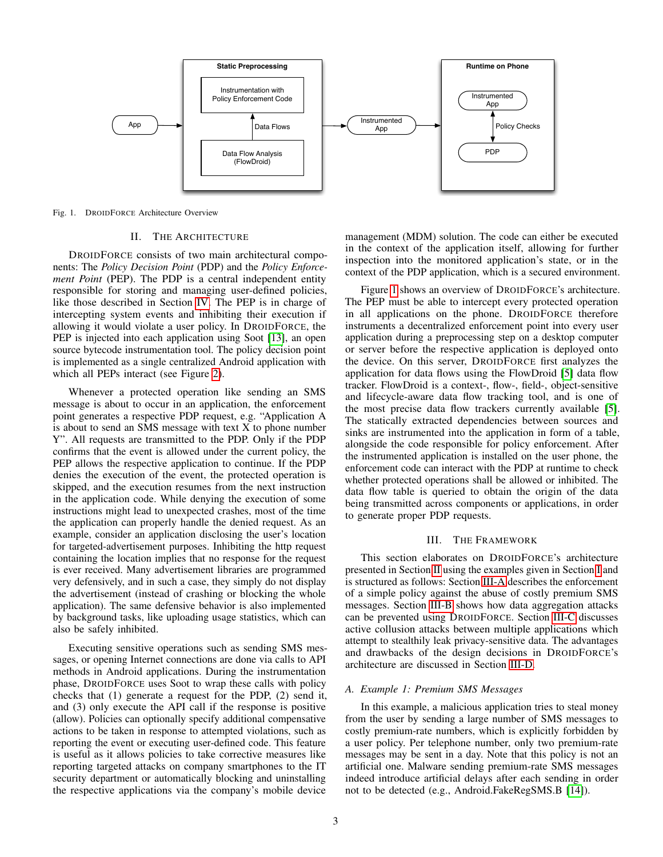

<span id="page-2-2"></span><span id="page-2-0"></span>Fig. 1. DROIDFORCE Architecture Overview

## II. THE ARCHITECTURE

DROIDFORCE consists of two main architectural components: The *Policy Decision Point* (PDP) and the *Policy Enforcement Point* (PEP). The PDP is a central independent entity responsible for storing and managing user-defined policies, like those described in Section [IV.](#page-4-0) The PEP is in charge of intercepting system events and inhibiting their execution if allowing it would violate a user policy. In DROIDFORCE, the PEP is injected into each application using Soot [\[13\]](#page-9-11), an open source bytecode instrumentation tool. The policy decision point is implemented as a single centralized Android application with which all PEPs interact (see Figure [2\)](#page-3-0).

Whenever a protected operation like sending an SMS message is about to occur in an application, the enforcement point generates a respective PDP request, e.g. "Application A is about to send an SMS message with text X to phone number Y". All requests are transmitted to the PDP. Only if the PDP confirms that the event is allowed under the current policy, the PEP allows the respective application to continue. If the PDP denies the execution of the event, the protected operation is skipped, and the execution resumes from the next instruction in the application code. While denying the execution of some instructions might lead to unexpected crashes, most of the time the application can properly handle the denied request. As an example, consider an application disclosing the user's location for targeted-advertisement purposes. Inhibiting the http request containing the location implies that no response for the request is ever received. Many advertisement libraries are programmed very defensively, and in such a case, they simply do not display the advertisement (instead of crashing or blocking the whole application). The same defensive behavior is also implemented by background tasks, like uploading usage statistics, which can also be safely inhibited.

Executing sensitive operations such as sending SMS messages, or opening Internet connections are done via calls to API methods in Android applications. During the instrumentation phase, DROIDFORCE uses Soot to wrap these calls with policy checks that (1) generate a request for the PDP, (2) send it, and (3) only execute the API call if the response is positive (allow). Policies can optionally specify additional compensative actions to be taken in response to attempted violations, such as reporting the event or executing user-defined code. This feature is useful as it allows policies to take corrective measures like reporting targeted attacks on company smartphones to the IT security department or automatically blocking and uninstalling the respective applications via the company's mobile device

management (MDM) solution. The code can either be executed in the context of the application itself, allowing for further inspection into the monitored application's state, or in the context of the PDP application, which is a secured environment.

Figure [1](#page-2-2) shows an overview of DROIDFORCE's architecture. The PEP must be able to intercept every protected operation in all applications on the phone. DROIDFORCE therefore instruments a decentralized enforcement point into every user application during a preprocessing step on a desktop computer or server before the respective application is deployed onto the device. On this server, DROIDFORCE first analyzes the application for data flows using the FlowDroid [\[5\]](#page-9-4) data flow tracker. FlowDroid is a context-, flow-, field-, object-sensitive and lifecycle-aware data flow tracking tool, and is one of the most precise data flow trackers currently available [\[5\]](#page-9-4). The statically extracted dependencies between sources and sinks are instrumented into the application in form of a table, alongside the code responsible for policy enforcement. After the instrumented application is installed on the user phone, the enforcement code can interact with the PDP at runtime to check whether protected operations shall be allowed or inhibited. The data flow table is queried to obtain the origin of the data being transmitted across components or applications, in order to generate proper PDP requests.

## III. THE FRAMEWORK

<span id="page-2-1"></span>This section elaborates on DROIDFORCE's architecture presented in Section [II](#page-2-0) using the examples given in Section [I](#page-0-1) and is structured as follows: Section [III-A](#page-2-3) describes the enforcement of a simple policy against the abuse of costly premium SMS messages. Section [III-B](#page-3-1) shows how data aggregation attacks can be prevented using DROIDFORCE. Section [III-C](#page-3-2) discusses active collusion attacks between multiple applications which attempt to stealthily leak privacy-sensitive data. The advantages and drawbacks of the design decisions in DROIDFORCE's architecture are discussed in Section [III-D.](#page-4-1)

#### <span id="page-2-3"></span>*A. Example 1: Premium SMS Messages*

In this example, a malicious application tries to steal money from the user by sending a large number of SMS messages to costly premium-rate numbers, which is explicitly forbidden by a user policy. Per telephone number, only two premium-rate messages may be sent in a day. Note that this policy is not an artificial one. Malware sending premium-rate SMS messages indeed introduce artificial delays after each sending in order not to be detected (e.g., Android.FakeRegSMS.B [\[14\]](#page-9-12)).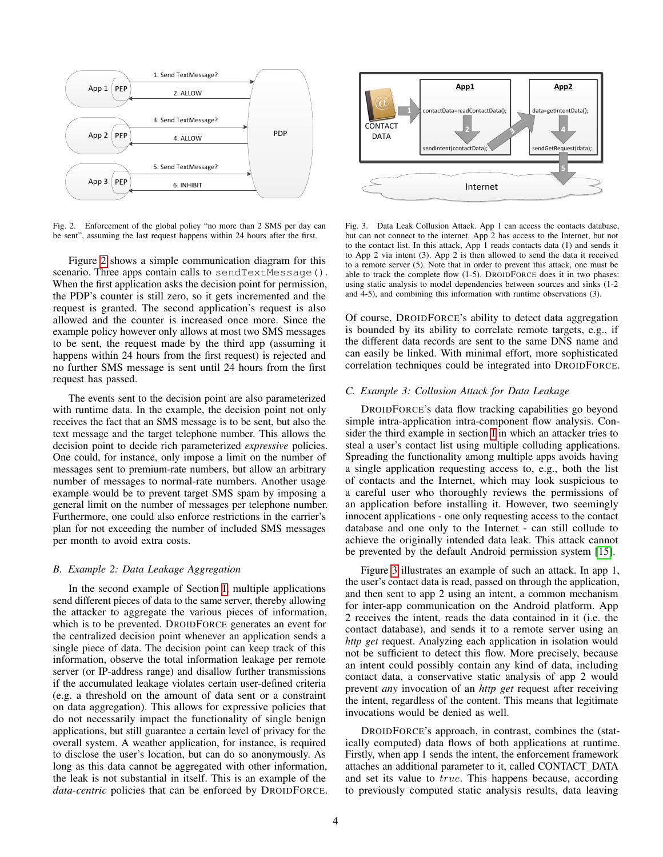

<span id="page-3-0"></span>Fig. 2. Enforcement of the global policy "no more than 2 SMS per day can be sent", assuming the last request happens within 24 hours after the first.

Figure [2](#page-3-0) shows a simple communication diagram for this scenario. Three apps contain calls to sendTextMessage(). When the first application asks the decision point for permission, the PDP's counter is still zero, so it gets incremented and the request is granted. The second application's request is also allowed and the counter is increased once more. Since the example policy however only allows at most two SMS messages to be sent, the request made by the third app (assuming it happens within 24 hours from the first request) is rejected and no further SMS message is sent until 24 hours from the first request has passed.

The events sent to the decision point are also parameterized with runtime data. In the example, the decision point not only receives the fact that an SMS message is to be sent, but also the text message and the target telephone number. This allows the decision point to decide rich parameterized *expressive* policies. One could, for instance, only impose a limit on the number of messages sent to premium-rate numbers, but allow an arbitrary number of messages to normal-rate numbers. Another usage example would be to prevent target SMS spam by imposing a general limit on the number of messages per telephone number. Furthermore, one could also enforce restrictions in the carrier's plan for not exceeding the number of included SMS messages per month to avoid extra costs.

## <span id="page-3-1"></span>*B. Example 2: Data Leakage Aggregation*

In the second example of Section [I,](#page-0-1) multiple applications send different pieces of data to the same server, thereby allowing the attacker to aggregate the various pieces of information, which is to be prevented. DROIDFORCE generates an event for the centralized decision point whenever an application sends a single piece of data. The decision point can keep track of this information, observe the total information leakage per remote server (or IP-address range) and disallow further transmissions if the accumulated leakage violates certain user-defined criteria (e.g. a threshold on the amount of data sent or a constraint on data aggregation). This allows for expressive policies that do not necessarily impact the functionality of single benign applications, but still guarantee a certain level of privacy for the overall system. A weather application, for instance, is required to disclose the user's location, but can do so anonymously. As long as this data cannot be aggregated with other information, the leak is not substantial in itself. This is an example of the *data-centric* policies that can be enforced by DROIDFORCE.



<span id="page-3-3"></span>Fig. 3. Data Leak Collusion Attack. App 1 can access the contacts database, but can not connect to the internet. App 2 has access to the Internet, but not to the contact list. In this attack, App 1 reads contacts data (1) and sends it to App 2 via intent (3). App 2 is then allowed to send the data it received to a remote server (5). Note that in order to prevent this attack, one must be able to track the complete flow (1-5). DROIDFORCE does it in two phases: using static analysis to model dependencies between sources and sinks (1-2 and 4-5), and combining this information with runtime observations (3).

Of course, DROIDFORCE's ability to detect data aggregation is bounded by its ability to correlate remote targets, e.g., if the different data records are sent to the same DNS name and can easily be linked. With minimal effort, more sophisticated correlation techniques could be integrated into DROIDFORCE.

## <span id="page-3-2"></span>*C. Example 3: Collusion Attack for Data Leakage*

DROIDFORCE's data flow tracking capabilities go beyond simple intra-application intra-component flow analysis. Consider the third example in section [I](#page-0-1) in which an attacker tries to steal a user's contact list using multiple colluding applications. Spreading the functionality among multiple apps avoids having a single application requesting access to, e.g., both the list of contacts and the Internet, which may look suspicious to a careful user who thoroughly reviews the permissions of an application before installing it. However, two seemingly innocent applications - one only requesting access to the contact database and one only to the Internet - can still collude to achieve the originally intended data leak. This attack cannot be prevented by the default Android permission system [\[15\]](#page-9-13).

Figure [3](#page-3-3) illustrates an example of such an attack. In app 1, the user's contact data is read, passed on through the application, and then sent to app 2 using an intent, a common mechanism for inter-app communication on the Android platform. App 2 receives the intent, reads the data contained in it (i.e. the contact database), and sends it to a remote server using an *http get* request. Analyzing each application in isolation would not be sufficient to detect this flow. More precisely, because an intent could possibly contain any kind of data, including contact data, a conservative static analysis of app 2 would prevent *any* invocation of an *http get* request after receiving the intent, regardless of the content. This means that legitimate invocations would be denied as well.

DROIDFORCE's approach, in contrast, combines the (statically computed) data flows of both applications at runtime. Firstly, when app 1 sends the intent, the enforcement framework attaches an additional parameter to it, called CONTACT DATA and set its value to *true*. This happens because, according to previously computed static analysis results, data leaving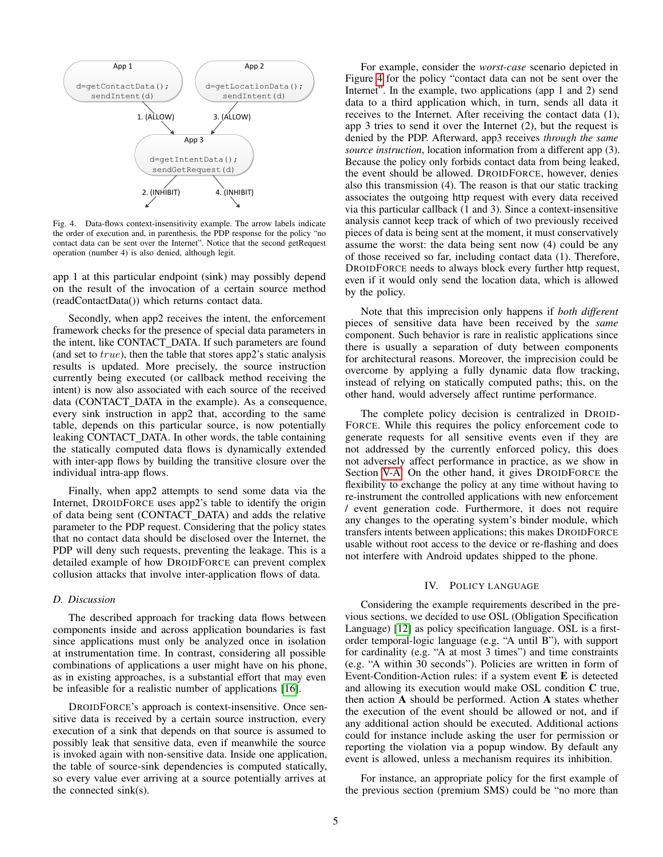

<span id="page-4-2"></span>Fig. 4. Data-flows context-insensitivity example. The arrow labels indicate the order of execution and, in parenthesis, the PDP response for the policy "no contact data can be sent over the Internet". Notice that the second getRequest operation (number 4) is also denied, although legit.

app 1 at this particular endpoint (sink) may possibly depend on the result of the invocation of a certain source method (readContactData()) which returns contact data.

Secondly, when app2 receives the intent, the enforcement framework checks for the presence of special data parameters in the intent, like CONTACT DATA. If such parameters are found (and set to  $true$ ), then the table that stores app2's static analysis results is updated. More precisely, the source instruction currently being executed (or callback method receiving the intent) is now also associated with each source of the received data (CONTACT\_DATA in the example). As a consequence, every sink instruction in app2 that, according to the same table, depends on this particular source, is now potentially leaking CONTACT\_DATA. In other words, the table containing the statically computed data flows is dynamically extended with inter-app flows by building the transitive closure over the individual intra-app flows.

Finally, when app2 attempts to send some data via the Internet, DROIDFORCE uses app2's table to identify the origin of data being sent (CONTACT DATA) and adds the relative parameter to the PDP request. Considering that the policy states that no contact data should be disclosed over the Internet, the PDP will deny such requests, preventing the leakage. This is a detailed example of how DROIDFORCE can prevent complex collusion attacks that involve inter-application flows of data.

#### <span id="page-4-1"></span>*D. Discussion*

The described approach for tracking data flows between components inside and across application boundaries is fast since applications must only be analyzed once in isolation at instrumentation time. In contrast, considering all possible combinations of applications a user might have on his phone, as in existing approaches, is a substantial effort that may even be infeasible for a realistic number of applications [\[16\]](#page-9-14).

DROIDFORCE's approach is context-insensitive. Once sensitive data is received by a certain source instruction, every execution of a sink that depends on that source is assumed to possibly leak that sensitive data, even if meanwhile the source is invoked again with non-sensitive data. Inside one application, the table of source-sink dependencies is computed statically, so every value ever arriving at a source potentially arrives at the connected  $sink(s)$ .

For example, consider the *worst-case* scenario depicted in Figure [4](#page-4-2) for the policy "contact data can not be sent over the Internet". In the example, two applications (app 1 and 2) send data to a third application which, in turn, sends all data it receives to the Internet. After receiving the contact data (1), app 3 tries to send it over the Internet (2), but the request is denied by the PDP. Afterward, app3 receives *through the same source instruction*, location information from a different app (3). Because the policy only forbids contact data from being leaked, the event should be allowed. DROIDFORCE, however, denies also this transmission (4). The reason is that our static tracking associates the outgoing http request with every data received via this particular callback (1 and 3). Since a context-insensitive analysis cannot keep track of which of two previously received pieces of data is being sent at the moment, it must conservatively assume the worst: the data being sent now (4) could be any of those received so far, including contact data (1). Therefore, DROIDFORCE needs to always block every further http request, even if it would only send the location data, which is allowed by the policy.

Note that this imprecision only happens if *both different* pieces of sensitive data have been received by the *same* component. Such behavior is rare in realistic applications since there is usually a separation of duty between components for architectural reasons. Moreover, the imprecision could be overcome by applying a fully dynamic data flow tracking, instead of relying on statically computed paths; this, on the other hand, would adversely affect runtime performance.

The complete policy decision is centralized in DROID-FORCE. While this requires the policy enforcement code to generate requests for all sensitive events even if they are not addressed by the currently enforced policy, this does not adversely affect performance in practice, as we show in Section [V-A.](#page-6-1) On the other hand, it gives DROIDFORCE the flexibility to exchange the policy at any time without having to re-instrument the controlled applications with new enforcement / event generation code. Furthermore, it does not require any changes to the operating system's binder module, which transfers intents between applications; this makes DROIDFORCE usable without root access to the device or re-flashing and does not interfere with Android updates shipped to the phone.

#### IV. POLICY LANGUAGE

<span id="page-4-0"></span>Considering the example requirements described in the previous sections, we decided to use OSL (Obligation Specification Language) [\[12\]](#page-9-10) as policy specification language. OSL is a firstorder temporal-logic language (e.g. "A until B"), with support for cardinality (e.g. "A at most 3 times") and time constraints (e.g. "A within 30 seconds"). Policies are written in form of Event-Condition-Action rules: if a system event E is detected and allowing its execution would make OSL condition C true, then action A should be performed. Action A states whether the execution of the event should be allowed or not, and if any additional action should be executed. Additional actions could for instance include asking the user for permission or reporting the violation via a popup window. By default any event is allowed, unless a mechanism requires its inhibition.

For instance, an appropriate policy for the first example of the previous section (premium SMS) could be "no more than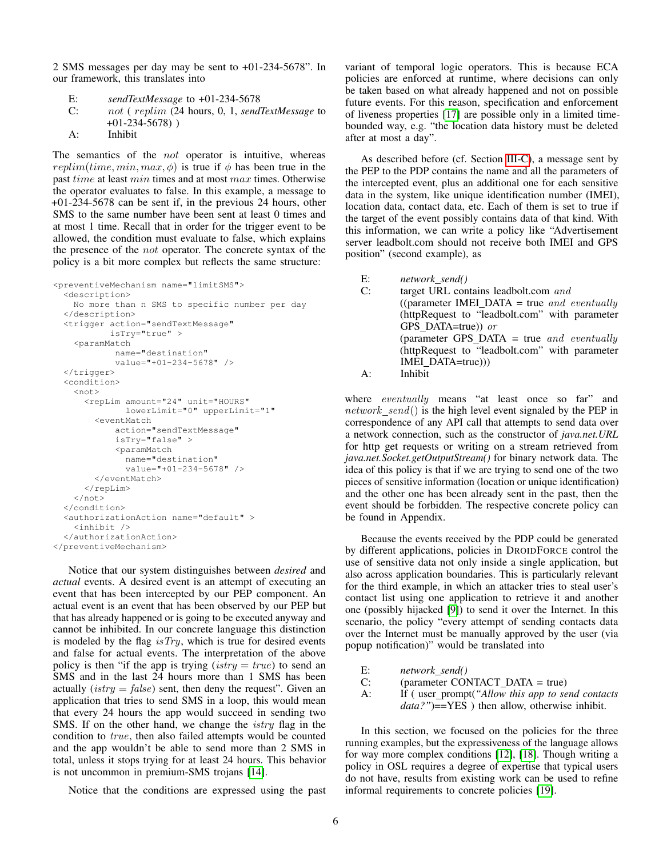2 SMS messages per day may be sent to +01-234-5678". In our framework, this translates into

- E: *sendTextMessage* to +01-234-5678
- C: not ( replim (24 hours, 0, 1, *sendTextMessage* to +01-234-5678) )
- A: Inhibit

The semantics of the *not* operator is intuitive, whereas replim(time, min, max,  $\phi$ ) is true if  $\phi$  has been true in the past time at least min times and at most max times. Otherwise the operator evaluates to false. In this example, a message to +01-234-5678 can be sent if, in the previous 24 hours, other SMS to the same number have been sent at least 0 times and at most 1 time. Recall that in order for the trigger event to be allowed, the condition must evaluate to false, which explains the presence of the not operator. The concrete syntax of the policy is a bit more complex but reflects the same structure:

```
<preventiveMechanism name="limitSMS">
  <description>
    No more than n SMS to specific number per day
  </description>
  <trigger action="sendTextMessage"
           isTry="true" >
    <paramMatch
            name="destination"
             value="+01-234-5678" />
  </trigger>
  <condition>
    <sub>not</sub></sub>
      <repLim amount="24" unit="HOURS"
              lowerLimit="0" upperLimit="1"
        <eventMatch
            action="sendTextMessage"
             isTry="false" >
             <paramMatch
               name="destination"
              value="+01-234-5678" />
        </eventMatch>
      \langle/repLim>
    \langle/not\rangle</condition>
  <authorizationAction name="default" >
    <inhibit />
  </authorizationAction>
</preventiveMechanism>
```
Notice that our system distinguishes between *desired* and *actual* events. A desired event is an attempt of executing an event that has been intercepted by our PEP component. An actual event is an event that has been observed by our PEP but that has already happened or is going to be executed anyway and cannot be inhibited. In our concrete language this distinction is modeled by the flag  $isTry$ , which is true for desired events and false for actual events. The interpretation of the above policy is then "if the app is trying (istry  $= true$ ) to send an SMS and in the last 24 hours more than 1 SMS has been actually  $(istry = false)$  sent, then deny the request". Given an application that tries to send SMS in a loop, this would mean that every 24 hours the app would succeed in sending two SMS. If on the other hand, we change the *istry* flag in the condition to true, then also failed attempts would be counted and the app wouldn't be able to send more than 2 SMS in total, unless it stops trying for at least 24 hours. This behavior is not uncommon in premium-SMS trojans [\[14\]](#page-9-12).

Notice that the conditions are expressed using the past

variant of temporal logic operators. This is because ECA policies are enforced at runtime, where decisions can only be taken based on what already happened and not on possible future events. For this reason, specification and enforcement of liveness properties [\[17\]](#page-9-15) are possible only in a limited timebounded way, e.g. "the location data history must be deleted after at most a day".

As described before (cf. Section [III-C\)](#page-3-2), a message sent by the PEP to the PDP contains the name and all the parameters of the intercepted event, plus an additional one for each sensitive data in the system, like unique identification number (IMEI), location data, contact data, etc. Each of them is set to true if the target of the event possibly contains data of that kind. With this information, we can write a policy like "Advertisement server leadbolt.com should not receive both IMEI and GPS position" (second example), as

- E: *network\_send()*<br>C: target URL con
- target URL contains leadbolt.com and  $((parameter IMEI_DATA = true and eventually$ (httpRequest to "leadbolt.com" with parameter GPS DATA=true)) or (parameter GPS\_DATA = true and eventually (httpRequest to "leadbolt.com" with parameter IMEI\_DATA=true)))
- A: Inhibit

where eventually means "at least once so far" and  $network\_send()$  is the high level event signaled by the PEP in correspondence of any API call that attempts to send data over a network connection, such as the constructor of *java.net.URL* for http get requests or writing on a stream retrieved from *java.net.Socket.getOutputStream()* for binary network data. The idea of this policy is that if we are trying to send one of the two pieces of sensitive information (location or unique identification) and the other one has been already sent in the past, then the event should be forbidden. The respective concrete policy can be found in Appendix.

Because the events received by the PDP could be generated by different applications, policies in DROIDFORCE control the use of sensitive data not only inside a single application, but also across application boundaries. This is particularly relevant for the third example, in which an attacker tries to steal user's contact list using one application to retrieve it and another one (possibly hijacked [\[9\]](#page-9-6)) to send it over the Internet. In this scenario, the policy "every attempt of sending contacts data over the Internet must be manually approved by the user (via popup notification)" would be translated into

- E: *network send()*
- C: (parameter CONTACT DATA = true)
- A: If ( user prompt(*"Allow this app to send contacts data?"*)==YES ) then allow, otherwise inhibit.

In this section, we focused on the policies for the three running examples, but the expressiveness of the language allows for way more complex conditions [\[12\]](#page-9-10), [\[18\]](#page-9-16). Though writing a policy in OSL requires a degree of expertise that typical users do not have, results from existing work can be used to refine informal requirements to concrete policies [\[19\]](#page-9-17).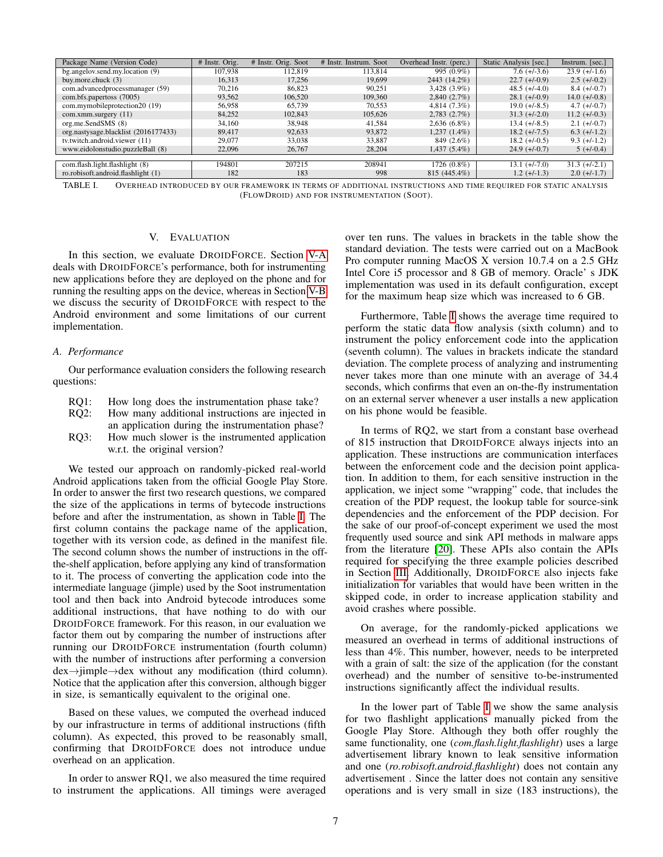| Package Name (Version Code)          | # Instr. Orig. | # Instr. Orig. Soot | # Instr. Instrum. Soot | Overhead Instr. (perc.) | Static Analysis [sec.] | Instrum. $[sec.]$ |
|--------------------------------------|----------------|---------------------|------------------------|-------------------------|------------------------|-------------------|
| bg.angelov.send.my.location (9)      | 107,938        | 112.819             | 113,814                | 995 (0.9%)              | $7.6 (+/-3.6)$         | $23.9 (+/-1.6)$   |
| buy.more.chuck $(3)$                 | 16.313         | 17.256              | 19.699                 | 2443 (14.2%)            | $22.7 (+/-0.9)$        | $2.5 (+/-0.2)$    |
| com.advancedprocessmanager (59)      | 70,216         | 86,823              | 90,251                 | $3,428$ $(3.9\%)$       | $48.5 (+/-4.0)$        | $8.4 (+/-0.7)$    |
| com.bfs.papertoss (7005)             | 93,562         | 106,520             | 109,360                | $2,840(2.7\%)$          | $28.1 (+/-0.9)$        | $14.0 (+/-0.8)$   |
| com.mymobileprotection20 (19)        | 56,958         | 65,739              | 70,553                 | 4,814 (7.3%)            | $19.0 (+/-8.5)$        | $4.7 (+/-0.7)$    |
| com.xmm.surgery (11)                 | 84,252         | 102,843             | 105,626                | 2,783(2.7%)             | $31.3 (+/-2.0)$        | $11.2 (+/-0.3)$   |
| org.me.SendSMS (8)                   | 34,160         | 38,948              | 41.584                 | $2.636(6.8\%)$          | $13.4 (+/-8.5)$        | $2.1 (+/-0.7)$    |
| org.nastysage.blacklist (2016177433) | 89,417         | 92,633              | 93,872                 | $1.237(1.4\%)$          | $18.2 (+/-7.5)$        | $6.3 (+/-1.2)$    |
| tv.twitch.android.viewer (11)        | 29,077         | 33,038              | 33,887                 | 849 (2.6%)              | $18.2 (+/-0.5)$        | $9.3 (+/-1.2)$    |
| www.eidolonstudio.puzzleBall (8)     | 22,096         | 26,767              | 28,204                 | $1,437(5.4\%)$          | $24.9 (+/-0.7)$        | $5 (+/-0.4)$      |
|                                      |                |                     |                        |                         |                        |                   |
| com.flash.light.flashlight (8)       | 194801         | 207215              | 208941                 | 1726 (0.8%)             | $13.1 (+/-7.0)$        | $31.3 (+/-2.1)$   |
| ro.robisoft.android.flashlight (1)   | 182            | 183                 | 998                    | 815 (445.4%)            | $1.2 (+/-1.3)$         | $2.0 (+/-1.7)$    |

<span id="page-6-2"></span>TABLE I. OVERHEAD INTRODUCED BY OUR FRAMEWORK IN TERMS OF ADDITIONAL INSTRUCTIONS AND TIME REQUIRED FOR STATIC ANALYSIS (FLOWDROID) AND FOR INSTRUMENTATION (SOOT).

## V. EVALUATION

<span id="page-6-0"></span>In this section, we evaluate DROIDFORCE. Section [V-A](#page-6-1) deals with DROIDFORCE's performance, both for instrumenting new applications before they are deployed on the phone and for running the resulting apps on the device, whereas in Section [V-B](#page-7-0) we discuss the security of DROIDFORCE with respect to the Android environment and some limitations of our current implementation.

## <span id="page-6-1"></span>*A. Performance*

Our performance evaluation considers the following research questions:

- RQ1: How long does the instrumentation phase take?
- RQ2: How many additional instructions are injected in an application during the instrumentation phase?
- RQ3: How much slower is the instrumented application w.r.t. the original version?

We tested our approach on randomly-picked real-world Android applications taken from the official Google Play Store. In order to answer the first two research questions, we compared the size of the applications in terms of bytecode instructions before and after the instrumentation, as shown in Table [I.](#page-6-2) The first column contains the package name of the application, together with its version code, as defined in the manifest file. The second column shows the number of instructions in the offthe-shelf application, before applying any kind of transformation to it. The process of converting the application code into the intermediate language (jimple) used by the Soot instrumentation tool and then back into Android bytecode introduces some additional instructions, that have nothing to do with our DROIDFORCE framework. For this reason, in our evaluation we factor them out by comparing the number of instructions after running our DROIDFORCE instrumentation (fourth column) with the number of instructions after performing a conversion dex→jimple→dex without any modification (third column). Notice that the application after this conversion, although bigger in size, is semantically equivalent to the original one.

Based on these values, we computed the overhead induced by our infrastructure in terms of additional instructions (fifth column). As expected, this proved to be reasonably small, confirming that DROIDFORCE does not introduce undue overhead on an application.

In order to answer RQ1, we also measured the time required to instrument the applications. All timings were averaged

over ten runs. The values in brackets in the table show the standard deviation. The tests were carried out on a MacBook Pro computer running MacOS X version 10.7.4 on a 2.5 GHz Intel Core i5 processor and 8 GB of memory. Oracle' s JDK implementation was used in its default configuration, except for the maximum heap size which was increased to 6 GB.

Furthermore, Table [I](#page-6-2) shows the average time required to perform the static data flow analysis (sixth column) and to instrument the policy enforcement code into the application (seventh column). The values in brackets indicate the standard deviation. The complete process of analyzing and instrumenting never takes more than one minute with an average of 34.4 seconds, which confirms that even an on-the-fly instrumentation on an external server whenever a user installs a new application on his phone would be feasible.

In terms of RQ2, we start from a constant base overhead of 815 instruction that DROIDFORCE always injects into an application. These instructions are communication interfaces between the enforcement code and the decision point application. In addition to them, for each sensitive instruction in the application, we inject some "wrapping" code, that includes the creation of the PDP request, the lookup table for source-sink dependencies and the enforcement of the PDP decision. For the sake of our proof-of-concept experiment we used the most frequently used source and sink API methods in malware apps from the literature [\[20\]](#page-9-18). These APIs also contain the APIs required for specifying the three example policies described in Section [III.](#page-2-1) Additionally, DROIDFORCE also injects fake initialization for variables that would have been written in the skipped code, in order to increase application stability and avoid crashes where possible.

On average, for the randomly-picked applications we measured an overhead in terms of additional instructions of less than 4%. This number, however, needs to be interpreted with a grain of salt: the size of the application (for the constant overhead) and the number of sensitive to-be-instrumented instructions significantly affect the individual results.

In the lower part of Table [I](#page-6-2) we show the same analysis for two flashlight applications manually picked from the Google Play Store. Although they both offer roughly the same functionality, one (*com.flash.light.flashlight*) uses a large advertisement library known to leak sensitive information and one (*ro.robisoft.android.flashlight*) does not contain any advertisement . Since the latter does not contain any sensitive operations and is very small in size (183 instructions), the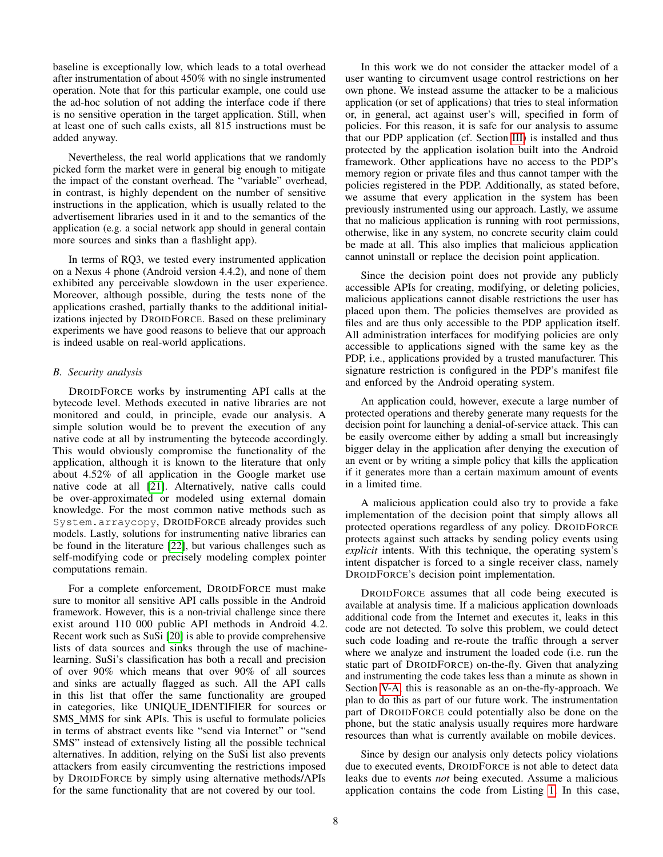baseline is exceptionally low, which leads to a total overhead after instrumentation of about 450% with no single instrumented operation. Note that for this particular example, one could use the ad-hoc solution of not adding the interface code if there is no sensitive operation in the target application. Still, when at least one of such calls exists, all 815 instructions must be added anyway.

Nevertheless, the real world applications that we randomly picked form the market were in general big enough to mitigate the impact of the constant overhead. The "variable" overhead, in contrast, is highly dependent on the number of sensitive instructions in the application, which is usually related to the advertisement libraries used in it and to the semantics of the application (e.g. a social network app should in general contain more sources and sinks than a flashlight app).

In terms of RQ3, we tested every instrumented application on a Nexus 4 phone (Android version 4.4.2), and none of them exhibited any perceivable slowdown in the user experience. Moreover, although possible, during the tests none of the applications crashed, partially thanks to the additional initializations injected by DROIDFORCE. Based on these preliminary experiments we have good reasons to believe that our approach is indeed usable on real-world applications.

# <span id="page-7-0"></span>*B. Security analysis*

DROIDFORCE works by instrumenting API calls at the bytecode level. Methods executed in native libraries are not monitored and could, in principle, evade our analysis. A simple solution would be to prevent the execution of any native code at all by instrumenting the bytecode accordingly. This would obviously compromise the functionality of the application, although it is known to the literature that only about 4.52% of all application in the Google market use native code at all [\[21\]](#page-9-19). Alternatively, native calls could be over-approximated or modeled using external domain knowledge. For the most common native methods such as System.arraycopy, DROIDFORCE already provides such models. Lastly, solutions for instrumenting native libraries can be found in the literature [\[22\]](#page-9-20), but various challenges such as self-modifying code or precisely modeling complex pointer computations remain.

For a complete enforcement, DROIDFORCE must make sure to monitor all sensitive API calls possible in the Android framework. However, this is a non-trivial challenge since there exist around 110 000 public API methods in Android 4.2. Recent work such as SuSi [\[20\]](#page-9-18) is able to provide comprehensive lists of data sources and sinks through the use of machinelearning. SuSi's classification has both a recall and precision of over 90% which means that over 90% of all sources and sinks are actually flagged as such. All the API calls in this list that offer the same functionality are grouped in categories, like UNIQUE IDENTIFIER for sources or SMS\_MMS for sink APIs. This is useful to formulate policies in terms of abstract events like "send via Internet" or "send SMS" instead of extensively listing all the possible technical alternatives. In addition, relying on the SuSi list also prevents attackers from easily circumventing the restrictions imposed by DROIDFORCE by simply using alternative methods/APIs for the same functionality that are not covered by our tool.

In this work we do not consider the attacker model of a user wanting to circumvent usage control restrictions on her own phone. We instead assume the attacker to be a malicious application (or set of applications) that tries to steal information or, in general, act against user's will, specified in form of policies. For this reason, it is safe for our analysis to assume that our PDP application (cf. Section [III\)](#page-2-1) is installed and thus protected by the application isolation built into the Android framework. Other applications have no access to the PDP's memory region or private files and thus cannot tamper with the policies registered in the PDP. Additionally, as stated before, we assume that every application in the system has been previously instrumented using our approach. Lastly, we assume that no malicious application is running with root permissions, otherwise, like in any system, no concrete security claim could be made at all. This also implies that malicious application cannot uninstall or replace the decision point application.

Since the decision point does not provide any publicly accessible APIs for creating, modifying, or deleting policies, malicious applications cannot disable restrictions the user has placed upon them. The policies themselves are provided as files and are thus only accessible to the PDP application itself. All administration interfaces for modifying policies are only accessible to applications signed with the same key as the PDP, i.e., applications provided by a trusted manufacturer. This signature restriction is configured in the PDP's manifest file and enforced by the Android operating system.

An application could, however, execute a large number of protected operations and thereby generate many requests for the decision point for launching a denial-of-service attack. This can be easily overcome either by adding a small but increasingly bigger delay in the application after denying the execution of an event or by writing a simple policy that kills the application if it generates more than a certain maximum amount of events in a limited time.

A malicious application could also try to provide a fake implementation of the decision point that simply allows all protected operations regardless of any policy. DROIDFORCE protects against such attacks by sending policy events using *explicit* intents. With this technique, the operating system's intent dispatcher is forced to a single receiver class, namely DROIDFORCE's decision point implementation.

DROIDFORCE assumes that all code being executed is available at analysis time. If a malicious application downloads additional code from the Internet and executes it, leaks in this code are not detected. To solve this problem, we could detect such code loading and re-route the traffic through a server where we analyze and instrument the loaded code (i.e. run the static part of DROIDFORCE) on-the-fly. Given that analyzing and instrumenting the code takes less than a minute as shown in Section [V-A,](#page-6-1) this is reasonable as an on-the-fly-approach. We plan to do this as part of our future work. The instrumentation part of DROIDFORCE could potentially also be done on the phone, but the static analysis usually requires more hardware resources than what is currently available on mobile devices.

Since by design our analysis only detects policy violations due to executed events, DROIDFORCE is not able to detect data leaks due to events *not* being executed. Assume a malicious application contains the code from Listing [1.](#page-8-2) In this case,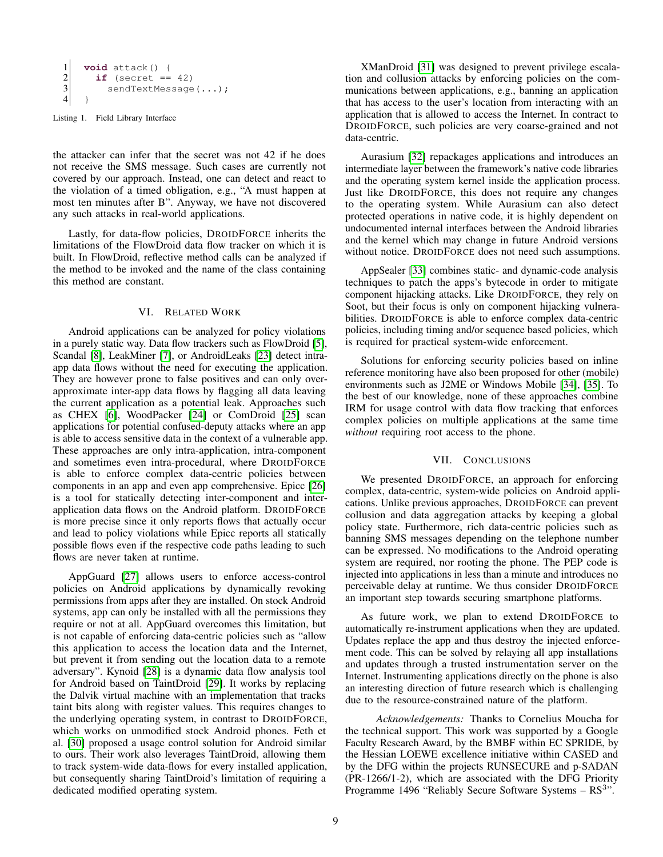```
\begin{array}{c|c} \textbf{1} & \textbf{void attack()} & \textbf{1} \\ \textbf{2} & \textbf{if (secret ==} \\ \textbf{3} & \textbf{sendTextMes} \end{array}if (secret == 42)sendTextMessage(...);
\overline{4}
```
Listing 1. Field Library Interface

the attacker can infer that the secret was not 42 if he does not receive the SMS message. Such cases are currently not covered by our approach. Instead, one can detect and react to the violation of a timed obligation, e.g., "A must happen at most ten minutes after B". Anyway, we have not discovered any such attacks in real-world applications.

Lastly, for data-flow policies, DROIDFORCE inherits the limitations of the FlowDroid data flow tracker on which it is built. In FlowDroid, reflective method calls can be analyzed if the method to be invoked and the name of the class containing this method are constant.

## VI. RELATED WORK

<span id="page-8-0"></span>Android applications can be analyzed for policy violations in a purely static way. Data flow trackers such as FlowDroid [\[5\]](#page-9-4), Scandal [\[8\]](#page-9-5), LeakMiner [\[7\]](#page-9-21), or AndroidLeaks [\[23\]](#page-9-22) detect intraapp data flows without the need for executing the application. They are however prone to false positives and can only overapproximate inter-app data flows by flagging all data leaving the current application as a potential leak. Approaches such as CHEX [\[6\]](#page-9-7), WoodPacker [\[24\]](#page-9-23) or ComDroid [\[25\]](#page-9-24) scan applications for potential confused-deputy attacks where an app is able to access sensitive data in the context of a vulnerable app. These approaches are only intra-application, intra-component and sometimes even intra-procedural, where DROIDFORCE is able to enforce complex data-centric policies between components in an app and even app comprehensive. Epicc [\[26\]](#page-9-25) is a tool for statically detecting inter-component and interapplication data flows on the Android platform. DROIDFORCE is more precise since it only reports flows that actually occur and lead to policy violations while Epicc reports all statically possible flows even if the respective code paths leading to such flows are never taken at runtime.

AppGuard [\[27\]](#page-9-26) allows users to enforce access-control policies on Android applications by dynamically revoking permissions from apps after they are installed. On stock Android systems, app can only be installed with all the permissions they require or not at all. AppGuard overcomes this limitation, but is not capable of enforcing data-centric policies such as "allow this application to access the location data and the Internet, but prevent it from sending out the location data to a remote adversary". Kynoid [\[28\]](#page-9-27) is a dynamic data flow analysis tool for Android based on TaintDroid [\[29\]](#page-9-28). It works by replacing the Dalvik virtual machine with an implementation that tracks taint bits along with register values. This requires changes to the underlying operating system, in contrast to DROIDFORCE, which works on unmodified stock Android phones. Feth et al. [\[30\]](#page-9-29) proposed a usage control solution for Android similar to ours. Their work also leverages TaintDroid, allowing them to track system-wide data-flows for every installed application, but consequently sharing TaintDroid's limitation of requiring a dedicated modified operating system.

XManDroid [\[31\]](#page-9-30) was designed to prevent privilege escalation and collusion attacks by enforcing policies on the communications between applications, e.g., banning an application that has access to the user's location from interacting with an application that is allowed to access the Internet. In contract to DROIDFORCE, such policies are very coarse-grained and not data-centric.

Aurasium [\[32\]](#page-9-31) repackages applications and introduces an intermediate layer between the framework's native code libraries and the operating system kernel inside the application process. Just like DROIDFORCE, this does not require any changes to the operating system. While Aurasium can also detect protected operations in native code, it is highly dependent on undocumented internal interfaces between the Android libraries and the kernel which may change in future Android versions without notice. DROIDFORCE does not need such assumptions.

AppSealer [\[33\]](#page-9-32) combines static- and dynamic-code analysis techniques to patch the apps's bytecode in order to mitigate component hijacking attacks. Like DROIDFORCE, they rely on Soot, but their focus is only on component hijacking vulnerabilities. DROIDFORCE is able to enforce complex data-centric policies, including timing and/or sequence based policies, which is required for practical system-wide enforcement.

Solutions for enforcing security policies based on inline reference monitoring have also been proposed for other (mobile) environments such as J2ME or Windows Mobile [\[34\]](#page-9-33), [\[35\]](#page-9-34). To the best of our knowledge, none of these approaches combine IRM for usage control with data flow tracking that enforces complex policies on multiple applications at the same time *without* requiring root access to the phone.

# VII. CONCLUSIONS

<span id="page-8-1"></span>We presented DROIDFORCE, an approach for enforcing complex, data-centric, system-wide policies on Android applications. Unlike previous approaches, DROIDFORCE can prevent collusion and data aggregation attacks by keeping a global policy state. Furthermore, rich data-centric policies such as banning SMS messages depending on the telephone number can be expressed. No modifications to the Android operating system are required, nor rooting the phone. The PEP code is injected into applications in less than a minute and introduces no perceivable delay at runtime. We thus consider DROIDFORCE an important step towards securing smartphone platforms.

As future work, we plan to extend DROIDFORCE to automatically re-instrument applications when they are updated. Updates replace the app and thus destroy the injected enforcement code. This can be solved by relaying all app installations and updates through a trusted instrumentation server on the Internet. Instrumenting applications directly on the phone is also an interesting direction of future research which is challenging due to the resource-constrained nature of the platform.

*Acknowledgements:* Thanks to Cornelius Moucha for the technical support. This work was supported by a Google Faculty Research Award, by the BMBF within EC SPRIDE, by the Hessian LOEWE excellence initiative within CASED and by the DFG within the projects RUNSECURE and p-SADAN (PR-1266/1-2), which are associated with the DFG Priority Programme 1496 "Reliably Secure Software Systems  $-$  RS<sup>3</sup>".